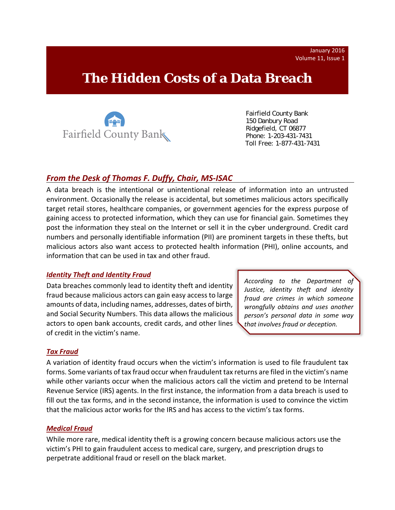# **The Hidden Costs of a Data Breach**



 Fairfield County Bank 150 Danbury Road Ridgefield, CT 06877 Phone: 1-203-431-7431 Toll Free: 1-877-431-7431

## *From the Desk of Thomas F. Duffy, Chair, MS‐ISAC*

A data breach is the intentional or unintentional release of information into an untrusted environment. Occasionally the release is accidental, but sometimes malicious actors specifically target retail stores, healthcare companies, or government agencies for the express purpose of gaining access to protected information, which they can use for financial gain. Sometimes they post the information they steal on the Internet or sell it in the cyber underground. Credit card numbers and personally identifiable information (PII) are prominent targets in these thefts, but malicious actors also want access to protected health information (PHI), online accounts, and information that can be used in tax and other fraud.

#### *Identity Theft and Identity Fraud*

Data breaches commonly lead to identity theft and identity fraud because malicious actors can gain easy access to large amounts of data, including names, addresses, dates of birth, and Social Security Numbers. This data allows the malicious actors to open bank accounts, credit cards, and other lines of credit in the victim's name.

*According to the Department of Justice, identity theft and identity fraud are crimes in which someone wrongfully obtains and uses another person's personal data in some way that involves fraud or deception.*

#### *Tax Fraud*

A variation of identity fraud occurs when the victim's information is used to file fraudulent tax forms. Some variants of tax fraud occur when fraudulent tax returns are filed in the victim's name while other variants occur when the malicious actors call the victim and pretend to be Internal Revenue Service (IRS) agents. In the first instance, the information from a data breach is used to fill out the tax forms, and in the second instance, the information is used to convince the victim that the malicious actor works for the IRS and has access to the victim's tax forms.

#### *Medical Fraud*

While more rare, medical identity theft is a growing concern because malicious actors use the victim's PHI to gain fraudulent access to medical care, surgery, and prescription drugs to perpetrate additional fraud or resell on the black market.